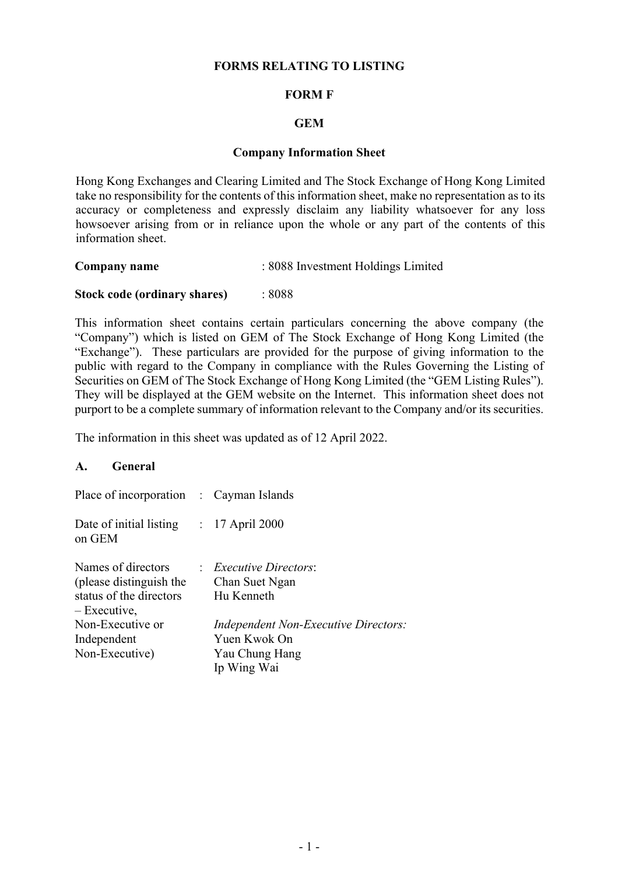## **FORMS RELATING TO LISTING**

### **FORM F**

### **GEM**

#### **Company Information Sheet**

Hong Kong Exchanges and Clearing Limited and The Stock Exchange of Hong Kong Limited take no responsibility for the contents of this information sheet, make no representation as to its accuracy or completeness and expressly disclaim any liability whatsoever for any loss howsoever arising from or in reliance upon the whole or any part of the contents of this information sheet.

| Company name | : 8088 Investment Holdings Limited |
|--------------|------------------------------------|
|              |                                    |

#### **Stock code (ordinary shares)** : 8088

This information sheet contains certain particulars concerning the above company (the "Company") which is listed on GEM of The Stock Exchange of Hong Kong Limited (the "Exchange"). These particulars are provided for the purpose of giving information to the public with regard to the Company in compliance with the Rules Governing the Listing of Securities on GEM of The Stock Exchange of Hong Kong Limited (the "GEM Listing Rules"). They will be displayed at the GEM website on the Internet. This information sheet does not purport to be a complete summary of information relevant to the Company and/or its securities.

The information in this sheet was updated as of 12 April 2022.

#### **A. General**

| Place of incorporation : Cayman Islands                                                  |                                                                                              |
|------------------------------------------------------------------------------------------|----------------------------------------------------------------------------------------------|
| Date of initial listing : 17 April 2000<br>on GEM                                        |                                                                                              |
| Names of directors<br>(please distinguish the<br>status of the directors<br>– Executive, | : <i>Executive Directors</i> :<br>Chan Suet Ngan<br>Hu Kenneth                               |
| Non-Executive or<br>Independent<br>Non-Executive)                                        | <i>Independent Non-Executive Directors:</i><br>Yuen Kwok On<br>Yau Chung Hang<br>Ip Wing Wai |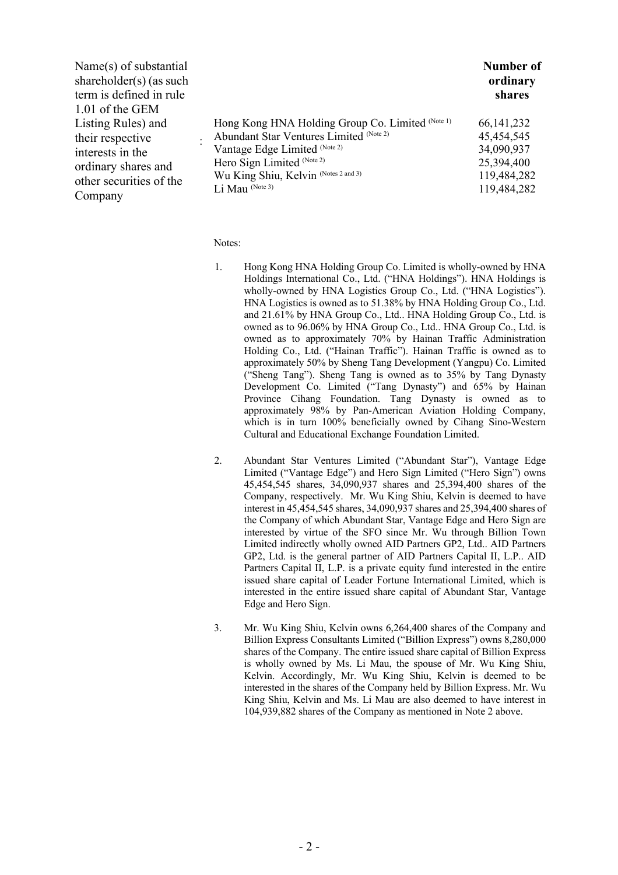|                                                  | Number of                                                                                                                                                         |
|--------------------------------------------------|-------------------------------------------------------------------------------------------------------------------------------------------------------------------|
|                                                  | ordinary                                                                                                                                                          |
|                                                  | shares                                                                                                                                                            |
|                                                  |                                                                                                                                                                   |
| Hong Kong HNA Holding Group Co. Limited (Note 1) | 66, 141, 232                                                                                                                                                      |
|                                                  | 45,454,545                                                                                                                                                        |
|                                                  | 34,090,937                                                                                                                                                        |
|                                                  | 25,394,400                                                                                                                                                        |
|                                                  | 119,484,282                                                                                                                                                       |
|                                                  | 119,484,282                                                                                                                                                       |
|                                                  | Abundant Star Ventures Limited (Note 2)<br>Vantage Edge Limited (Note 2)<br>Hero Sign Limited (Note 2)<br>Wu King Shiu, Kelvin (Notes 2 and 3)<br>Li Mau (Note 3) |

Notes:

- 1. Hong Kong HNA Holding Group Co. Limited is wholly-owned by HNA Holdings International Co., Ltd. ("HNA Holdings"). HNA Holdings is wholly-owned by HNA Logistics Group Co., Ltd. ("HNA Logistics"). HNA Logistics is owned as to 51.38% by HNA Holding Group Co., Ltd. and 21.61% by HNA Group Co., Ltd.. HNA Holding Group Co., Ltd. is owned as to 96.06% by HNA Group Co., Ltd.. HNA Group Co., Ltd. is owned as to approximately 70% by Hainan Traffic Administration Holding Co., Ltd. ("Hainan Traffic"). Hainan Traffic is owned as to approximately 50% by Sheng Tang Development (Yangpu) Co. Limited ("Sheng Tang"). Sheng Tang is owned as to 35% by Tang Dynasty Development Co. Limited ("Tang Dynasty") and 65% by Hainan Province Cihang Foundation. Tang Dynasty is owned as to approximately 98% by Pan-American Aviation Holding Company, which is in turn 100% beneficially owned by Cihang Sino-Western Cultural and Educational Exchange Foundation Limited.
- 2. Abundant Star Ventures Limited ("Abundant Star"), Vantage Edge Limited ("Vantage Edge") and Hero Sign Limited ("Hero Sign") owns 45,454,545 shares, 34,090,937 shares and 25,394,400 shares of the Company, respectively. Mr. Wu King Shiu, Kelvin is deemed to have interest in 45,454,545 shares, 34,090,937 shares and 25,394,400 shares of the Company of which Abundant Star, Vantage Edge and Hero Sign are interested by virtue of the SFO since Mr. Wu through Billion Town Limited indirectly wholly owned AID Partners GP2, Ltd.. AID Partners GP2, Ltd. is the general partner of AID Partners Capital II, L.P.. AID Partners Capital II, L.P. is a private equity fund interested in the entire issued share capital of Leader Fortune International Limited, which is interested in the entire issued share capital of Abundant Star, Vantage Edge and Hero Sign.
- 3. Mr. Wu King Shiu, Kelvin owns 6,264,400 shares of the Company and Billion Express Consultants Limited ("Billion Express") owns 8,280,000 shares of the Company. The entire issued share capital of Billion Express is wholly owned by Ms. Li Mau, the spouse of Mr. Wu King Shiu, Kelvin. Accordingly, Mr. Wu King Shiu, Kelvin is deemed to be interested in the shares of the Company held by Billion Express. Mr. Wu King Shiu, Kelvin and Ms. Li Mau are also deemed to have interest in 104,939,882 shares of the Company as mentioned in Note 2 above.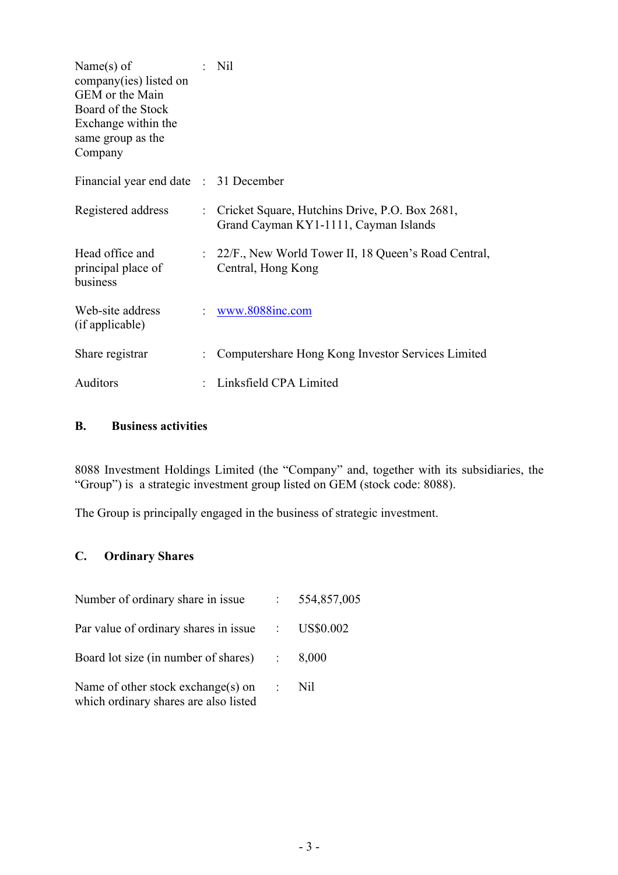| Name $(s)$ of<br>company(ies) listed on<br>GEM or the Main<br>Board of the Stock<br>Exchange within the<br>same group as the<br>Company | $:$ Nil                                                                                   |
|-----------------------------------------------------------------------------------------------------------------------------------------|-------------------------------------------------------------------------------------------|
| Financial year end date : 31 December                                                                                                   |                                                                                           |
| Registered address                                                                                                                      | : Cricket Square, Hutchins Drive, P.O. Box 2681,<br>Grand Cayman KY1-1111, Cayman Islands |
| Head office and<br>principal place of<br>business                                                                                       | : 22/F., New World Tower II, 18 Queen's Road Central,<br>Central, Hong Kong               |
| Web-site address<br>(if applicable)                                                                                                     | www.8088inc.com                                                                           |
| Share registrar                                                                                                                         | Computershare Hong Kong Investor Services Limited                                         |
| Auditors                                                                                                                                | Linksfield CPA Limited                                                                    |

## **B. Business activities**

8088 Investment Holdings Limited (the "Company" and, together with its subsidiaries, the "Group") is a strategic investment group listed on GEM (stock code: 8088).

The Group is principally engaged in the business of strategic investment.

# **C. Ordinary Shares**

| Number of ordinary share in issue : 554,857,005                             |                  |
|-----------------------------------------------------------------------------|------------------|
| Par value of ordinary shares in issue : US\$0.002                           |                  |
| Board lot size (in number of shares) $\therefore$ 8,000                     |                  |
| Name of other stock exchange(s) on<br>which ordinary shares are also listed | $\therefore$ Nil |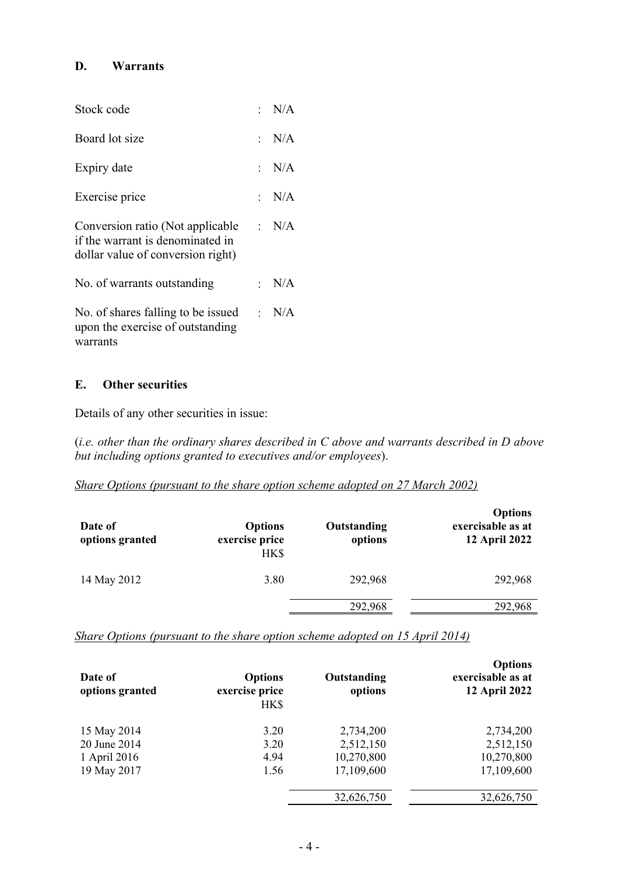## **D. Warrants**

| Stock code                                                                                                      | : $N/A$     |
|-----------------------------------------------------------------------------------------------------------------|-------------|
| Board lot size                                                                                                  | : $N/A$     |
| Expiry date                                                                                                     | : $N/A$     |
| Exercise price                                                                                                  | $\cdot$ N/A |
| Conversion ratio (Not applicable : N/A<br>if the warrant is denominated in<br>dollar value of conversion right) |             |
| No. of warrants outstanding                                                                                     | : $N/A$     |
| No. of shares falling to be issued $\therefore$ N/A<br>upon the exercise of outstanding<br>warrants             |             |

## **E. Other securities**

Details of any other securities in issue:

(*i.e. other than the ordinary shares described in C above and warrants described in D above but including options granted to executives and/or employees*).

## *Share Options (pursuant to the share option scheme adopted on 27 March 2002)*

| Date of<br>options granted | <b>Options</b><br>exercise price<br>HK\$ | Outstanding<br>options | <b>Options</b><br>exercisable as at<br>12 April 2022 |
|----------------------------|------------------------------------------|------------------------|------------------------------------------------------|
| 14 May 2012                | 3.80                                     | 292,968                | 292,968                                              |
|                            |                                          | 292,968                | 292,968                                              |

*Share Options (pursuant to the share option scheme adopted on 15 April 2014)*

| Date of<br>options granted | <b>Options</b><br>exercise price<br>HK\$ | Outstanding<br>options | <b>Options</b><br>exercisable as at<br><b>12 April 2022</b> |
|----------------------------|------------------------------------------|------------------------|-------------------------------------------------------------|
| 15 May 2014                | 3.20                                     | 2,734,200              | 2,734,200                                                   |
| 20 June 2014               | 3.20                                     | 2,512,150              | 2,512,150                                                   |
| 1 April 2016               | 4.94                                     | 10,270,800             | 10,270,800                                                  |
| 19 May 2017                | 1.56                                     | 17,109,600             | 17,109,600                                                  |
|                            |                                          | 32,626,750             | 32,626,750                                                  |